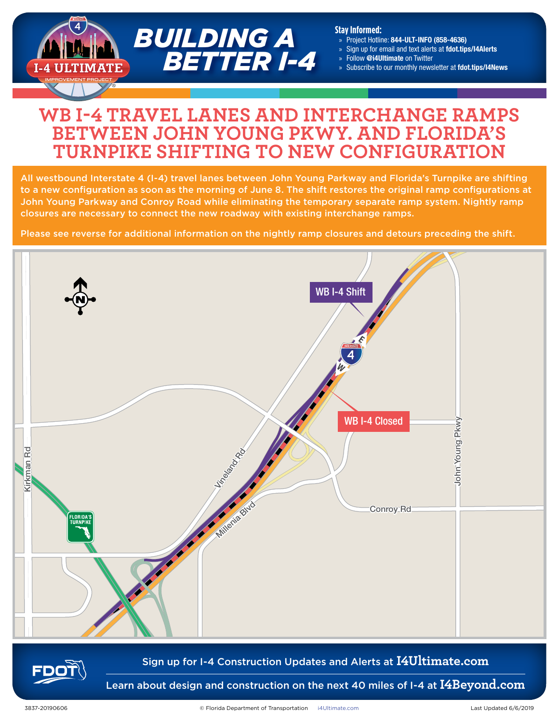

#### **Stay Informed:**

- » Project Hotline: 844-ULT-INFO (858-4636)
- » Sign up for email and text alerts at fdot.tips/I4Alerts
- » Follow @i4Ultimate on Twitter
- Subscribe to our monthly newsletter at fdot.tips/I4News

## **WB I-4 TRAVEL LANES AND INTERCHANGE RAMPS BETWEEN JOHN YOUNG PKWY. AND FLORIDA'S TURNPIKE SHIFTING TO NEW CONFIGURATION**

All westbound Interstate 4 (I-4) travel lanes between John Young Parkway and Florida's Turnpike are shifting to a new configuration as soon as the morning of June 8. The shift restores the original ramp configurations at John Young Parkway and Conroy Road while eliminating the temporary separate ramp system. Nightly ramp closures are necessary to connect the new roadway with existing interchange ramps.

Please see reverse for additional information on the nightly ramp closures and detours preceding the shift.





#### Sign up for I-4 Construction Updates and Alerts at **I4Ultimate.com**

Learn about design and construction on the next 40 miles of I-4 at **I4Beyond.com**